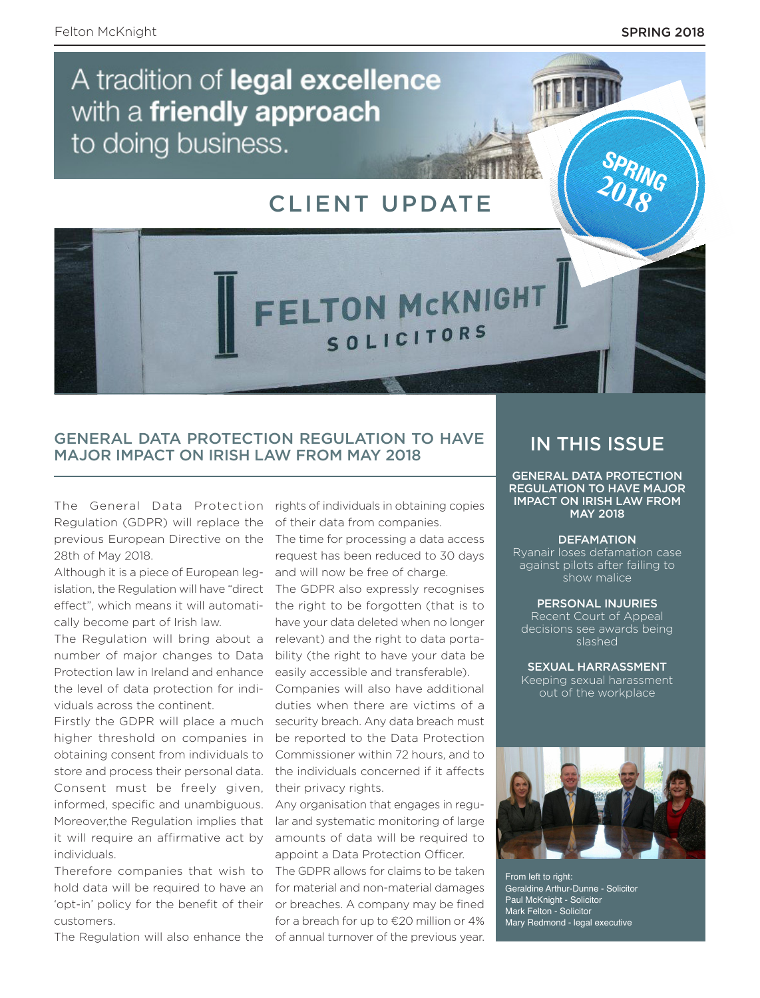**SPRING 2018**

# A tradition of legal excellence with a friendly approach to doing business.

## CLIENT UPDATE

FELTON MCKNIGHT

SOLICITORS

### GENERAL DATA PROTECTION REGULATION TO HAVE MAJOR IMPACT ON IRISH LAW FROM MAY 2018

The General Data Protection Regulation (GDPR) will replace the previous European Directive on the 28th of May 2018.

Although it is a piece of European legislation, the Regulation will have "direct effect", which means it will automatically become part of Irish law.

The Regulation will bring about a number of major changes to Data Protection law in Ireland and enhance the level of data protection for individuals across the continent.

Firstly the GDPR will place a much higher threshold on companies in obtaining consent from individuals to store and process their personal data. Consent must be freely given, informed, specific and unambiguous. Moreover,the Regulation implies that it will require an affirmative act by individuals.

Therefore companies that wish to hold data will be required to have an 'opt-in' policy for the benefit of their customers.

The Regulation will also enhance the of annual turnover of the previous year.

rights of individuals in obtaining copies of their data from companies.

The time for processing a data access request has been reduced to 30 days and will now be free of charge.

The GDPR also expressly recognises the right to be forgotten (that is to have your data deleted when no longer relevant) and the right to data portability (the right to have your data be easily accessible and transferable).

Companies will also have additional duties when there are victims of a security breach. Any data breach must be reported to the Data Protection Commissioner within 72 hours, and to the individuals concerned if it affects their privacy rights.

Any organisation that engages in regular and systematic monitoring of large amounts of data will be required to appoint a Data Protection Officer.

The GDPR allows for claims to be taken for material and non-material damages or breaches. A company may be fined for a breach for up to €20 million or 4%

## IN THIS ISSUE

GENERAL DATA PROTECTION REGULATION TO HAVE MAJOR IMPACT ON IRISH LAW FROM MAY 2018

#### **DEFAMATION**

Ryanair loses defamation case against pilots after failing to show malice

#### PERSONAL INJURIES

Recent Court of Appeal decisions see awards being slashed

SEXUAL HARRASSMENT Keeping sexual harassment out of the workplace



From left to right: Geraldine Arthur-Dunne - Solicitor Paul McKnight - Solicitor Mark Felton - Solicitor Mary Redmond - legal executive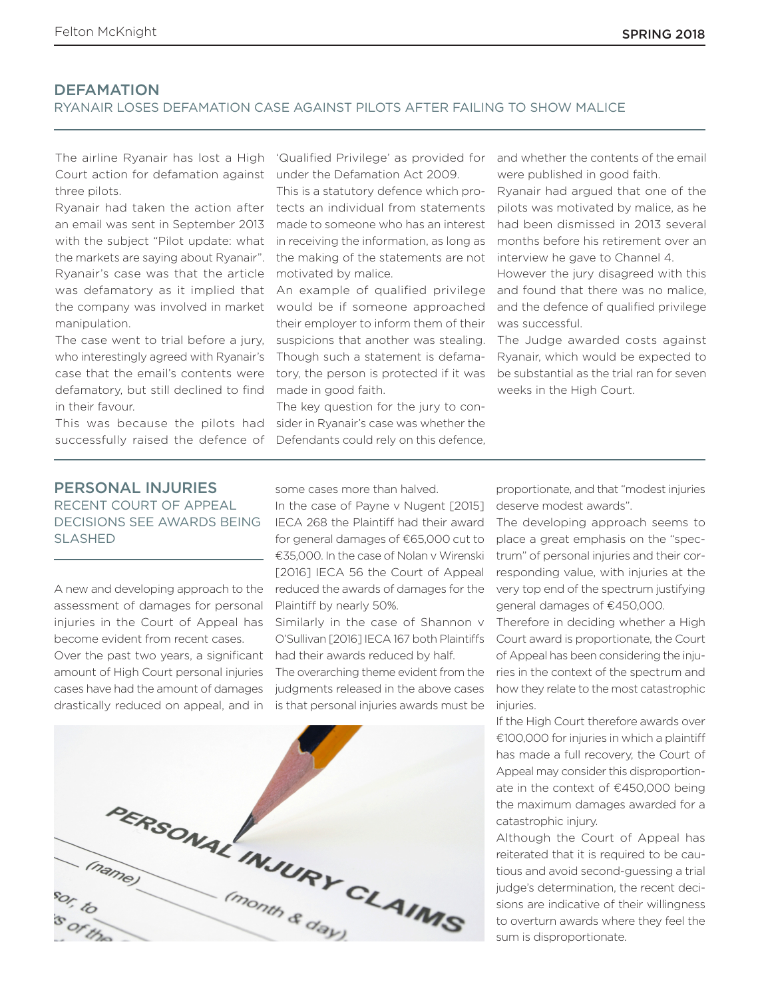#### **DEFAMATION**

#### RYANAIR LOSES DEFAMATION CASE AGAINST PILOTS AFTER FAILING TO SHOW MALICE

Court action for defamation against three pilots.

an email was sent in September 2013 made to someone who has an interest with the subject "Pilot update: what the markets are saying about Ryanair". Ryanair's case was that the article was defamatory as it implied that the company was involved in market manipulation.

The case went to trial before a jury, who interestingly agreed with Ryanair's case that the email's contents were defamatory, but still declined to find made in good faith. in their favour.

successfully raised the defence of Defendants could rely on this defence,

under the Defamation Act 2009.

Ryanair had taken the action after tects an individual from statements This is a statutory defence which proin receiving the information, as long as the making of the statements are not motivated by malice.

> An example of qualified privilege would be if someone approached their employer to inform them of their suspicions that another was stealing. Though such a statement is defamatory, the person is protected if it was

This was because the pilots had sider in Ryanair's case was whether the The key question for the jury to con-

The airline Ryanair has lost a High 'Qualified Privilege' as provided for and whether the contents of the email were published in good faith.

> Ryanair had argued that one of the pilots was motivated by malice, as he had been dismissed in 2013 several months before his retirement over an interview he gave to Channel 4.

> However the jury disagreed with this and found that there was no malice, and the defence of qualified privilege was successful.

> The Judge awarded costs against Ryanair, which would be expected to be substantial as the trial ran for seven weeks in the High Court.

#### PERSONAL INJURIES RECENT COURT OF APPEAL DECISIONS SEE AWARDS BEING SLASHED

A new and developing approach to the assessment of damages for personal injuries in the Court of Appeal has become evident from recent cases.

Over the past two years, a significant amount of High Court personal injuries cases have had the amount of damages drastically reduced on appeal, and in

some cases more than halved.

In the case of Payne v Nugent [2015] IECA 268 the Plaintiff had their award for general damages of €65,000 cut to €35,000. In the case of Nolan v Wirenski [2016] IECA 56 the Court of Appeal reduced the awards of damages for the Plaintiff by nearly 50%.

Similarly in the case of Shannon v O'Sullivan [2016] IECA 167 both Plaintiffs had their awards reduced by half.

The overarching theme evident from the judgments released in the above cases is that personal injuries awards must be



proportionate, and that "modest injuries deserve modest awards".

The developing approach seems to place a great emphasis on the "spectrum" of personal injuries and their corresponding value, with injuries at the very top end of the spectrum justifying general damages of €450,000.

Therefore in deciding whether a High Court award is proportionate, the Court of Appeal has been considering the injuries in the context of the spectrum and how they relate to the most catastrophic injuries.

If the High Court therefore awards over €100,000 for injuries in which a plaintiff has made a full recovery, the Court of Appeal may consider this disproportionate in the context of €450,000 being the maximum damages awarded for a catastrophic injury.

Although the Court of Appeal has reiterated that it is required to be cautious and avoid second-guessing a trial judge's determination, the recent decisions are indicative of their willingness to overturn awards where they feel the sum is disproportionate.